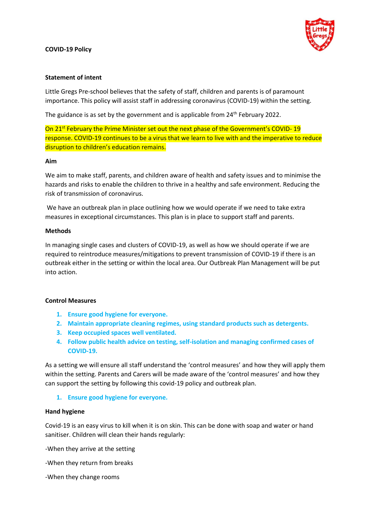#### **COVID-19 Policy**



#### **Statement of intent**

Little Gregs Pre-school believes that the safety of staff, children and parents is of paramount importance. This policy will assist staff in addressing coronavirus (COVID-19) within the setting.

The guidance is as set by the government and is applicable from  $24<sup>th</sup>$  February 2022.

On 21<sup>st</sup> February the Prime Minister set out the next phase of the Government's COVID-19 response. COVID-19 continues to be a virus that we learn to live with and the imperative to reduce disruption to children's education remains.

#### **Aim**

We aim to make staff, parents, and children aware of health and safety issues and to minimise the hazards and risks to enable the children to thrive in a healthy and safe environment. Reducing the risk of transmission of coronavirus.

We have an outbreak plan in place outlining how we would operate if we need to take extra measures in exceptional circumstances. This plan is in place to support staff and parents.

#### **Methods**

In managing single cases and clusters of COVID-19, as well as how we should operate if we are required to reintroduce measures/mitigations to prevent transmission of COVID-19 if there is an outbreak either in the setting or within the local area. Our Outbreak Plan Management will be put into action.

### **Control Measures**

- **1. Ensure good hygiene for everyone.**
- **2. Maintain appropriate cleaning regimes, using standard products such as detergents.**
- **3. Keep occupied spaces well ventilated.**
- **4. Follow public health advice on testing, self-isolation and managing confirmed cases of COVID-19.**

As a setting we will ensure all staff understand the 'control measures' and how they will apply them within the setting. Parents and Carers will be made aware of the 'control measures' and how they can support the setting by following this covid-19 policy and outbreak plan.

### **1. Ensure good hygiene for everyone.**

#### **Hand hygiene**

Covid-19 is an easy virus to kill when it is on skin. This can be done with soap and water or hand sanitiser. Children will clean their hands regularly:

-When they arrive at the setting

-When they return from breaks

-When they change rooms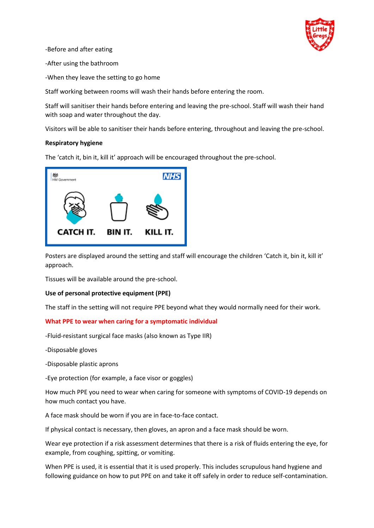

-Before and after eating

-After using the bathroom

-When they leave the setting to go home

Staff working between rooms will wash their hands before entering the room.

Staff will sanitiser their hands before entering and leaving the pre-school. Staff will wash their hand with soap and water throughout the day.

Visitors will be able to sanitiser their hands before entering, throughout and leaving the pre-school.

## **Respiratory hygiene**

The 'catch it, bin it, kill it' approach will be encouraged throughout the pre-school.



Posters are displayed around the setting and staff will encourage the children 'Catch it, bin it, kill it' approach.

Tissues will be available around the pre-school.

### **Use of personal protective equipment (PPE)**

The staff in the setting will not require PPE beyond what they would normally need for their work.

### **What PPE to wear when caring for a symptomatic individual**

-Fluid-resistant surgical face masks (also known as Type IIR)

-Disposable gloves

-Disposable plastic aprons

-Eye protection (for example, a face visor or goggles)

How much PPE you need to wear when caring for someone with symptoms of COVID-19 depends on how much contact you have.

A face mask should be worn if you are in face-to-face contact.

If physical contact is necessary, then gloves, an apron and a face mask should be worn.

Wear eye protection if a risk assessment determines that there is a risk of fluids entering the eye, for example, from coughing, spitting, or vomiting.

When PPE is used, it is essential that it is used properly. This includes scrupulous hand hygiene and following guidance on how to put PPE on and take it off safely in order to reduce self-contamination.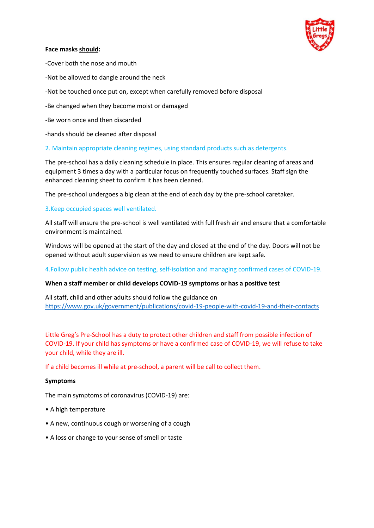

## **Face masks should:**

-Cover both the nose and mouth

- -Not be allowed to dangle around the neck
- -Not be touched once put on, except when carefully removed before disposal
- -Be changed when they become moist or damaged
- -Be worn once and then discarded
- -hands should be cleaned after disposal

## 2. Maintain appropriate cleaning regimes, using standard products such as detergents.

The pre-school has a daily cleaning schedule in place. This ensures regular cleaning of areas and equipment 3 times a day with a particular focus on frequently touched surfaces. Staff sign the enhanced cleaning sheet to confirm it has been cleaned.

The pre-school undergoes a big clean at the end of each day by the pre-school caretaker.

## 3.Keep occupied spaces well ventilated.

All staff will ensure the pre-school is well ventilated with full fresh air and ensure that a comfortable environment is maintained.

Windows will be opened at the start of the day and closed at the end of the day. Doors will not be opened without adult supervision as we need to ensure children are kept safe.

4.Follow public health advice on testing, self-isolation and managing confirmed cases of COVID-19.

### **When a staff member or child develops COVID-19 symptoms or has a positive test**

All staff, child and other adults should follow the guidance on <https://www.gov.uk/government/publications/covid-19-people-with-covid-19-and-their-contacts>

Little Greg's Pre-School has a duty to protect other children and staff from possible infection of COVID-19. If your child has symptoms or have a confirmed case of COVID-19, we will refuse to take your child, while they are ill.

If a child becomes ill while at pre-school, a parent will be call to collect them.

### **Symptoms**

The main symptoms of coronavirus (COVID-19) are:

- A high temperature
- A new, continuous cough or worsening of a cough
- A loss or change to your sense of smell or taste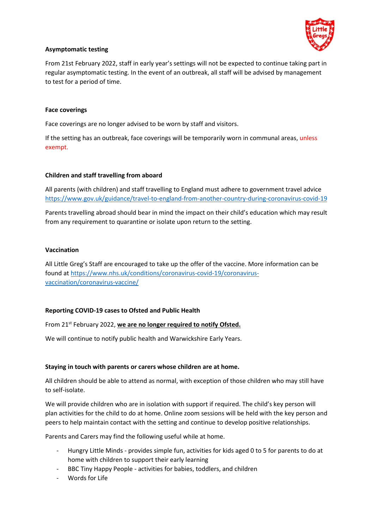

# **Asymptomatic testing**

From 21st February 2022, staff in early year's settings will not be expected to continue taking part in regular asymptomatic testing. In the event of an outbreak, all staff will be advised by management to test for a period of time.

## **Face coverings**

Face coverings are no longer advised to be worn by staff and visitors.

If the setting has an outbreak, face coverings will be temporarily worn in communal areas, unless exempt.

## **Children and staff travelling from aboard**

All parents (with children) and staff travelling to England must adhere to government travel advice <https://www.gov.uk/guidance/travel-to-england-from-another-country-during-coronavirus-covid-19>

Parents travelling abroad should bear in mind the impact on their child's education which may result from any requirement to quarantine or isolate upon return to the setting.

## **Vaccination**

All Little Greg's Staff are encouraged to take up the offer of the vaccine. More information can be found a[t https://www.nhs.uk/conditions/coronavirus-covid-19/coronavirus](https://www.nhs.uk/conditions/coronavirus-covid-19/coronavirus-vaccination/coronavirus-vaccine/)[vaccination/coronavirus-vaccine/](https://www.nhs.uk/conditions/coronavirus-covid-19/coronavirus-vaccination/coronavirus-vaccine/)

# **Reporting COVID-19 cases to Ofsted and Public Health**

From 21<sup>st</sup> February 2022, we are no longer required to notify Ofsted.

We will continue to notify public health and Warwickshire Early Years.

# **Staying in touch with parents or carers whose children are at home.**

All children should be able to attend as normal, with exception of those children who may still have to self-isolate.

We will provide children who are in isolation with support if required. The child's key person will plan activities for the child to do at home. Online zoom sessions will be held with the key person and peers to help maintain contact with the setting and continue to develop positive relationships.

Parents and Carers may find the following useful while at home.

- Hungry Little Minds provides simple fun, activities for kids aged 0 to 5 for parents to do at home with children to support their early learning
- BBC Tiny Happy People activities for babies, toddlers, and children
- Words for Life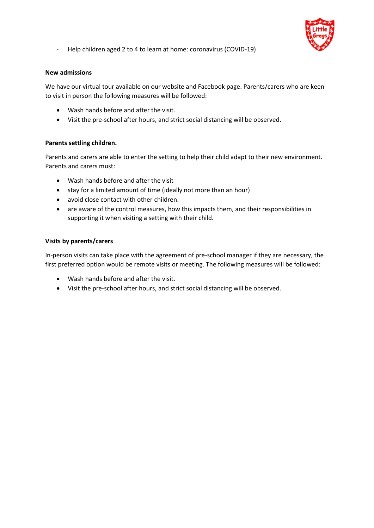

- Help children aged 2 to 4 to learn at home: coronavirus (COVID-19)

## **New admissions**

We have our virtual tour available on our website and Facebook page. Parents/carers who are keen to visit in person the following measures will be followed:

- Wash hands before and after the visit.
- Visit the pre-school after hours, and strict social distancing will be observed.

## **Parents settling children.**

Parents and carers are able to enter the setting to help their child adapt to their new environment. Parents and carers must:

- Wash hands before and after the visit
- stay for a limited amount of time (ideally not more than an hour)
- avoid close contact with other children.
- are aware of the control measures, how this impacts them, and their responsibilities in supporting it when visiting a setting with their child.

## **Visits by parents/carers**

In-person visits can take place with the agreement of pre-school manager if they are necessary, the first preferred option would be remote visits or meeting. The following measures will be followed:

- Wash hands before and after the visit.
- Visit the pre-school after hours, and strict social distancing will be observed.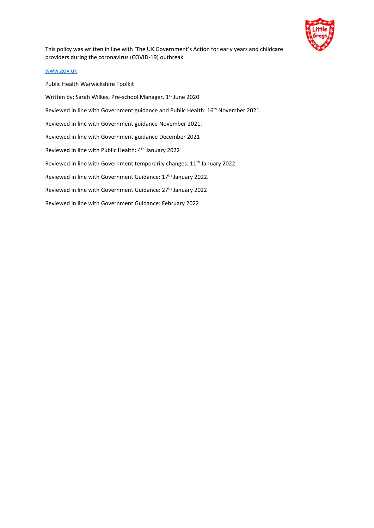

This policy was written in line with 'The UK Government's Action for early years and childcare providers during the coronavirus (COVID-19) outbreak.

#### [www.gov.uk](http://www.gov.uk/)

Public Health Warwickshire Toolkit Written by: Sarah Wilkes, Pre-school Manager. 1st June 2020 Reviewed in line with Government guidance and Public Health: 16<sup>th</sup> November 2021. Reviewed in line with Government guidance November 2021. Reviewed in line with Government guidance December 2021 Reviewed in line with Public Health: 4th January 2022 Reviewed in line with Government temporarily changes: 11<sup>th</sup> January 2022. Reviewed in line with Government Guidance: 17<sup>th</sup> January 2022. Reviewed in line with Government Guidance: 27th January 2022 Reviewed in line with Government Guidance: February 2022